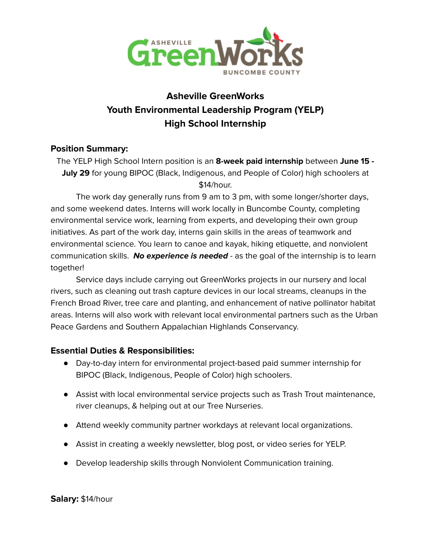

# **Asheville GreenWorks Youth Environmental Leadership Program (YELP) High School Internship**

#### **Position Summary:**

The YELP High School Intern position is an **8-week paid internship** between **June 15 - July 29** for young BIPOC (Black, Indigenous, and People of Color) high schoolers at \$14/hour.

The work day generally runs from 9 am to 3 pm, with some longer/shorter days, and some weekend dates. Interns will work locally in Buncombe County, completing environmental service work, learning from experts, and developing their own group initiatives. As part of the work day, interns gain skills in the areas of teamwork and environmental science. You learn to canoe and kayak, hiking etiquette, and nonviolent communication skills. **No experience is needed** - as the goal of the internship is to learn together!

Service days include carrying out GreenWorks projects in our nursery and local rivers, such as cleaning out trash capture devices in our local streams, cleanups in the French Broad River, tree care and planting, and enhancement of native pollinator habitat areas. Interns will also work with relevant local environmental partners such as the Urban Peace Gardens and Southern Appalachian Highlands Conservancy.

#### **Essential Duties & Responsibilities:**

- Day-to-day intern for environmental project-based paid summer internship for BIPOC (Black, Indigenous, People of Color) high schoolers.
- Assist with local environmental service projects such as Trash Trout maintenance, river cleanups, & helping out at our Tree Nurseries.
- Attend weekly community partner workdays at relevant local organizations.
- Assist in creating a weekly newsletter, blog post, or video series for YELP.
- Develop leadership skills through Nonviolent Communication training.